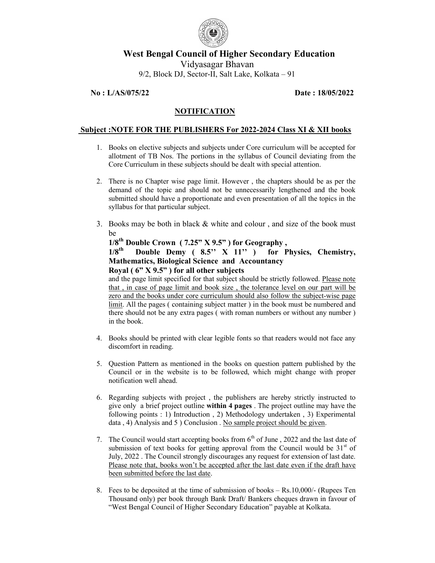

# West Bengal Council of Higher Secondary Education

Vidyasagar Bhavan 9/2, Block DJ, Sector-II, Salt Lake, Kolkata – 91

#### No : L/AS/075/22 Date : 18/05/2022

# **NOTIFICATION**

#### Subject :NOTE FOR THE PUBLISHERS For 2022-2024 Class XI & XII books

- 1. Books on elective subjects and subjects under Core curriculum will be accepted for allotment of TB Nos. The portions in the syllabus of Council deviating from the Core Curriculum in these subjects should be dealt with special attention.
- 2. There is no Chapter wise page limit. However , the chapters should be as per the demand of the topic and should not be unnecessarily lengthened and the book submitted should have a proportionate and even presentation of all the topics in the syllabus for that particular subject.
- 3. Books may be both in black & white and colour , and size of the book must be

# $1/8^{th}$  Double Crown ( 7.25" X 9.5") for Geography,<br> $1/8^{th}$  Double Demy (  $8.5$ " X 11") for P

# Double Demy (  $8.5$ " X  $11$ " ) for Physics, Chemistry, Mathematics, Biological Science and Accountancy Royal ( $6$ " X 9.5") for all other subjects

and the page limit specified for that subject should be strictly followed. Please note that , in case of page limit and book size , the tolerance level on our part will be zero and the books under core curriculum should also follow the subject-wise page limit. All the pages ( containing subject matter ) in the book must be numbered and there should not be any extra pages ( with roman numbers or without any number ) in the book.

- 4. Books should be printed with clear legible fonts so that readers would not face any discomfort in reading.
- 5. Question Pattern as mentioned in the books on question pattern published by the Council or in the website is to be followed, which might change with proper notification well ahead.
- 6. Regarding subjects with project , the publishers are hereby strictly instructed to give only a brief project outline within 4 pages . The project outline may have the following points : 1) Introduction , 2) Methodology undertaken , 3) Experimental data, 4) Analysis and 5 ) Conclusion . No sample project should be given.
- 7. The Council would start accepting books from  $6<sup>th</sup>$  of June, 2022 and the last date of submission of text books for getting approval from the Council would be  $31<sup>st</sup>$  of July, 2022 . The Council strongly discourages any request for extension of last date. Please note that, books won't be accepted after the last date even if the draft have been submitted before the last date.
- 8. Fees to be deposited at the time of submission of books Rs.10,000/- (Rupees Ten Thousand only) per book through Bank Draft/ Bankers cheques drawn in favour of "West Bengal Council of Higher Secondary Education" payable at Kolkata.